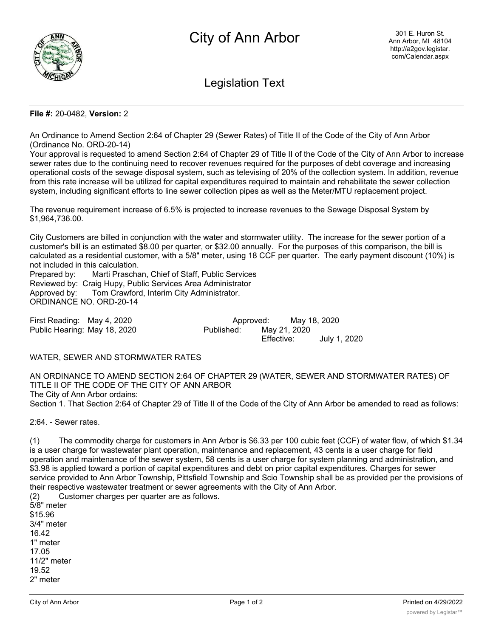

Legislation Text

### **File #:** 20-0482, **Version:** 2

An Ordinance to Amend Section 2:64 of Chapter 29 (Sewer Rates) of Title II of the Code of the City of Ann Arbor (Ordinance No. ORD-20-14)

Your approval is requested to amend Section 2:64 of Chapter 29 of Title II of the Code of the City of Ann Arbor to increase sewer rates due to the continuing need to recover revenues required for the purposes of debt coverage and increasing operational costs of the sewage disposal system, such as televising of 20% of the collection system. In addition, revenue from this rate increase will be utilized for capital expenditures required to maintain and rehabilitate the sewer collection system, including significant efforts to line sewer collection pipes as well as the Meter/MTU replacement project.

The revenue requirement increase of 6.5% is projected to increase revenues to the Sewage Disposal System by \$1,964,736.00.

City Customers are billed in conjunction with the water and stormwater utility. The increase for the sewer portion of a customer's bill is an estimated \$8.00 per quarter, or \$32.00 annually. For the purposes of this comparison, the bill is calculated as a residential customer, with a 5/8" meter, using 18 CCF per quarter. The early payment discount (10%) is not included in this calculation.

Prepared by: Marti Praschan, Chief of Staff, Public Services Reviewed by: Craig Hupy, Public Services Area Administrator Approved by: Tom Crawford, Interim City Administrator. ORDINANCE NO. ORD-20-14

First Reading: May 4, 2020 Approved: May 18, 2020 Public Hearing: May 18, 2020 Published: May 21, 2020

Effective: July 1, 2020

#### WATER, SEWER AND STORMWATER RATES

AN ORDINANCE TO AMEND SECTION 2:64 OF CHAPTER 29 (WATER, SEWER AND STORMWATER RATES) OF TITLE II OF THE CODE OF THE CITY OF ANN ARBOR The City of Ann Arbor ordains: Section 1. That Section 2:64 of Chapter 29 of Title II of the Code of the City of Ann Arbor be amended to read as follows:

2:64. - Sewer rates.

(1) The commodity charge for customers in Ann Arbor is \$6.33 per 100 cubic feet (CCF) of water flow, of which \$1.34 is a user charge for wastewater plant operation, maintenance and replacement, 43 cents is a user charge for field operation and maintenance of the sewer system, 58 cents is a user charge for system planning and administration, and \$3.98 is applied toward a portion of capital expenditures and debt on prior capital expenditures. Charges for sewer service provided to Ann Arbor Township, Pittsfield Township and Scio Township shall be as provided per the provisions of their respective wastewater treatment or sewer agreements with the City of Ann Arbor. (2) Customer charges per quarter are as follows.

5/8" meter \$15.96 3/4" meter 16.42 1" meter 17.05 11/2" meter 19.52 2" meter